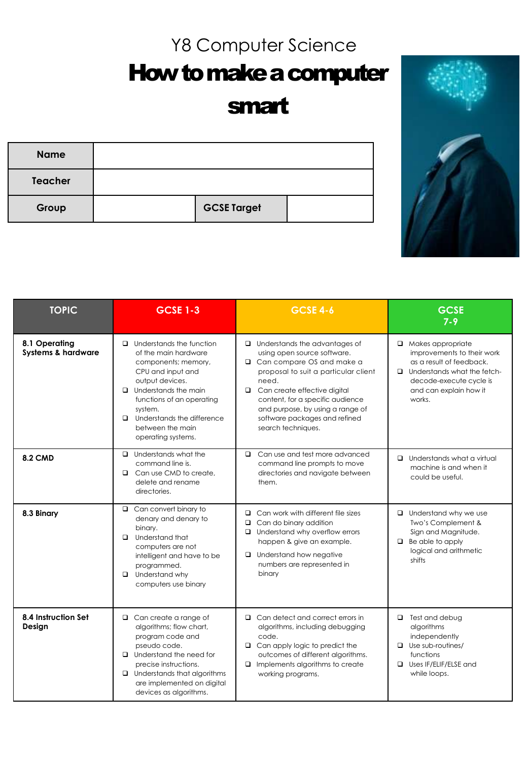## Y8 Computer Science

How to make a computer

## smart

| <b>Name</b>    |                    |  |
|----------------|--------------------|--|
| <b>Teacher</b> |                    |  |
| Group          | <b>GCSE Target</b> |  |



| <b>TOPIC</b>                                   | <b>GCSE 1-3</b>                                                                                                                                                                                                                                                                 | <b>GCSE 4-6</b>                                                                                                                                                                                                                                                                                                      | <b>GCSE</b><br>$7 - 9$                                                                                                                                                                  |
|------------------------------------------------|---------------------------------------------------------------------------------------------------------------------------------------------------------------------------------------------------------------------------------------------------------------------------------|----------------------------------------------------------------------------------------------------------------------------------------------------------------------------------------------------------------------------------------------------------------------------------------------------------------------|-----------------------------------------------------------------------------------------------------------------------------------------------------------------------------------------|
| 8.1 Operating<br><b>Systems &amp; hardware</b> | $\Box$ Understands the function<br>of the main hardware<br>components; memory,<br>CPU and input and<br>output devices.<br>$\Box$ Understands the main<br>functions of an operating<br>system.<br>Understands the difference<br>$\Box$<br>between the main<br>operating systems. | $\Box$ Understands the advantages of<br>using open source software.<br>□ Can compare OS and make a<br>proposal to suit a particular client<br>need.<br>□ Can create effective digital<br>content, for a specific audience<br>and purpose, by using a range of<br>software packages and refined<br>search techniques. | $\Box$ Makes appropriate<br>improvements to their work<br>as a result of feedback.<br>$\Box$ Understands what the fetch-<br>decode-execute cycle is<br>and can explain how it<br>works. |
| <b>8.2 CMD</b>                                 | $\Box$ Understands what the<br>command line is.<br>$\Box$ Can use CMD to create,<br>delete and rename<br>directories.                                                                                                                                                           | $\Box$ Can use and test more advanced<br>command line prompts to move<br>directories and navigate between<br>them.                                                                                                                                                                                                   | $\Box$ Understands what a virtual<br>machine is and when it<br>could be useful.                                                                                                         |
| 8.3 Binary                                     | $\Box$ Can convert binary to<br>denary and denary to<br>binary.<br>$\Box$ Understand that<br>computers are not<br>intelligent and have to be<br>programmed.<br>$\Box$ Understand why<br>computers use binary                                                                    | $\Box$ Can work with different file sizes<br>$\Box$ Can do binary addition<br>$\Box$ Understand why overflow errors<br>happen & give an example.<br>$\Box$ Understand how negative<br>numbers are represented in<br>binary                                                                                           | $\Box$ Understand why we use<br>Two's Complement &<br>Sign and Magnitude.<br>$\Box$ Be able to apply<br>logical and arithmetic<br>shifts                                                |
| 8.4 Instruction Set<br>Design                  | $\Box$ Can create a range of<br>algorithms; flow chart,<br>program code and<br>pseudo code.<br>$\Box$ Understand the need for<br>precise instructions.<br>$\Box$ Understands that algorithms<br>are implemented on digital<br>devices as algorithms.                            | $\Box$ Can detect and correct errors in<br>algorithms, including debugging<br>code.<br>$\Box$ Can apply logic to predict the<br>outcomes of different algorithms.<br>$\Box$ Implements algorithms to create<br>working programs.                                                                                     | $\Box$ Test and debug<br>algorithms<br>independently<br>$\Box$ Use sub-routines/<br>functions<br>Uses IF/ELIF/ELSE and<br>while loops.                                                  |